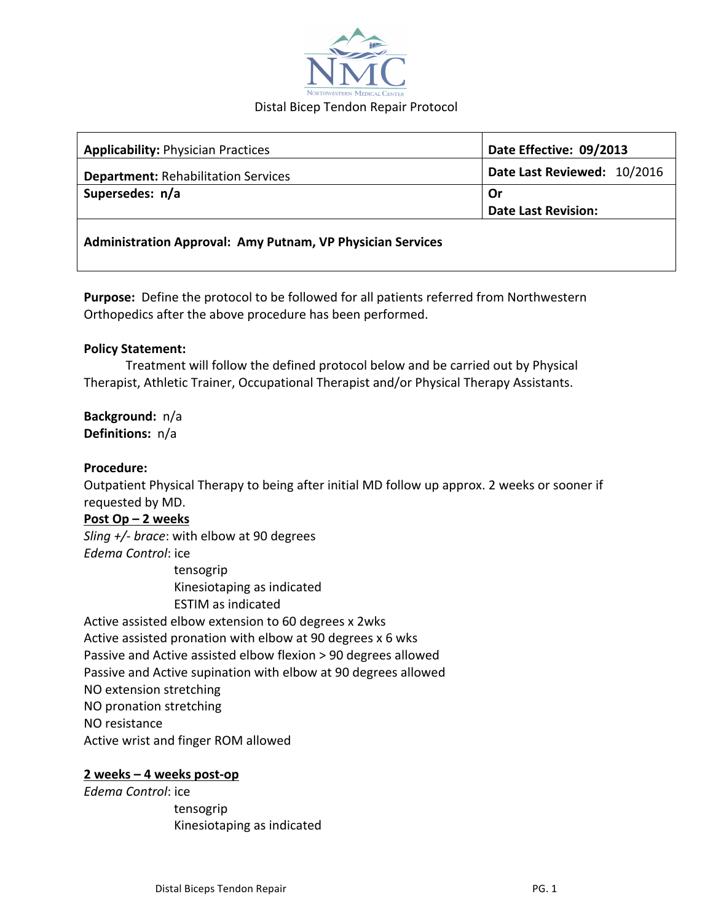

| <b>Applicability: Physician Practices</b>                         | Date Effective: 09/2013     |
|-------------------------------------------------------------------|-----------------------------|
| <b>Department: Rehabilitation Services</b>                        | Date Last Reviewed: 10/2016 |
| Supersedes: n/a                                                   | Or                          |
|                                                                   | <b>Date Last Revision:</b>  |
| <b>Administration Approval: Amy Putnam, VP Physician Services</b> |                             |

**Purpose:** Define the protocol to be followed for all patients referred from Northwestern Orthopedics after the above procedure has been performed.

## **Policy Statement:**

Treatment will follow the defined protocol below and be carried out by Physical Therapist, Athletic Trainer, Occupational Therapist and/or Physical Therapy Assistants.

**Background:** n/a **Definitions:** n/a

## **Procedure:**

Outpatient Physical Therapy to being after initial MD follow up approx. 2 weeks or sooner if requested by MD.

## **Post Op – 2 weeks**

*Sling*  $+/-$  *brace*: with elbow at 90 degrees *Edema Control*: ice

> tensogrip Kinesiotaping as indicated ESTIM as indicated

Active assisted elbow extension to 60 degrees x 2wks Active assisted pronation with elbow at 90 degrees x 6 wks Passive and Active assisted elbow flexion > 90 degrees allowed Passive and Active supination with elbow at 90 degrees allowed NO extension stretching NO pronation stretching NO resistance Active wrist and finger ROM allowed

## **2 weeks – 4 weeks post-op**

*Edema Control*: ice

 tensogrip Kinesiotaping as indicated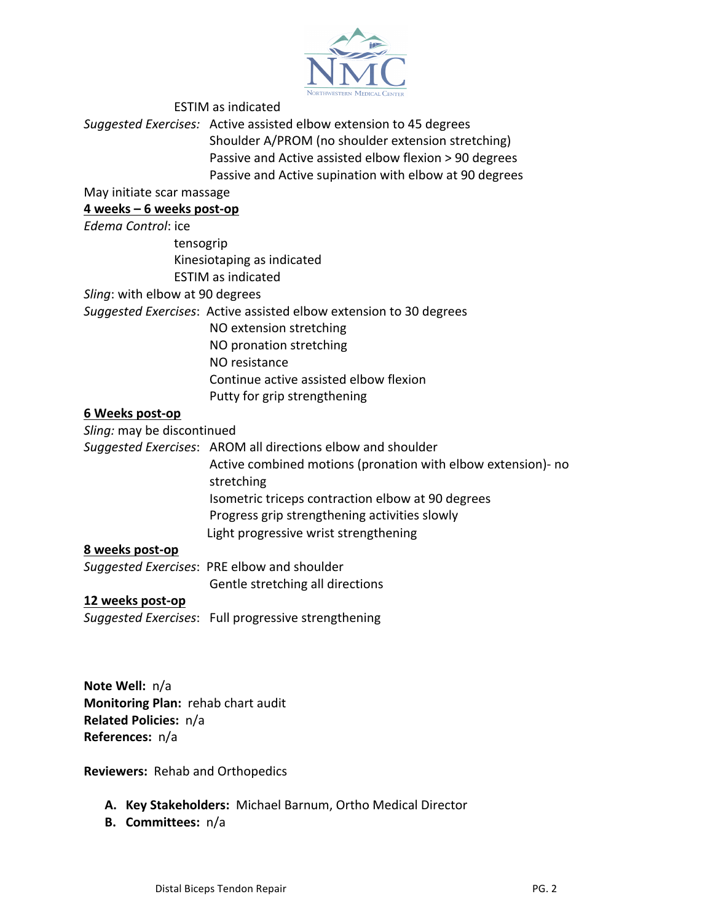

ESTIM as indicated Suggested Exercises: Active assisted elbow extension to 45 degrees Shoulder A/PROM (no shoulder extension stretching) Passive and Active assisted elbow flexion > 90 degrees Passive and Active supination with elbow at 90 degrees May initiate scar massage **4 weeks – 6 weeks post-op** *Edema Control*: ice tensogrip Kinesiotaping as indicated ESTIM as indicated Sling: with elbow at 90 degrees *Suggested Exercises*: Active assisted elbow extension to 30 degrees NO extension stretching NO pronation stretching NO resistance Continue active assisted elbow flexion Putty for grip strengthening **6 Weeks post-op** Sling: may be discontinued Suggested Exercises: AROM all directions elbow and shoulder Active combined motions (pronation with elbow extension)- no stretching Isometric triceps contraction elbow at 90 degrees Progress grip strengthening activities slowly Light progressive wrist strengthening **8 weeks post-op** Suggested Exercises: PRE elbow and shoulder Gentle stretching all directions **12 weeks post-op** Suggested Exercises: Full progressive strengthening

**Note Well:** n/a **Monitoring Plan: rehab chart audit Related Policies:** n/a **References:**  $n/a$ 

**Reviewers: Rehab and Orthopedics** 

- A. Key Stakeholders: Michael Barnum, Ortho Medical Director
- **B. Committees:**  n/a